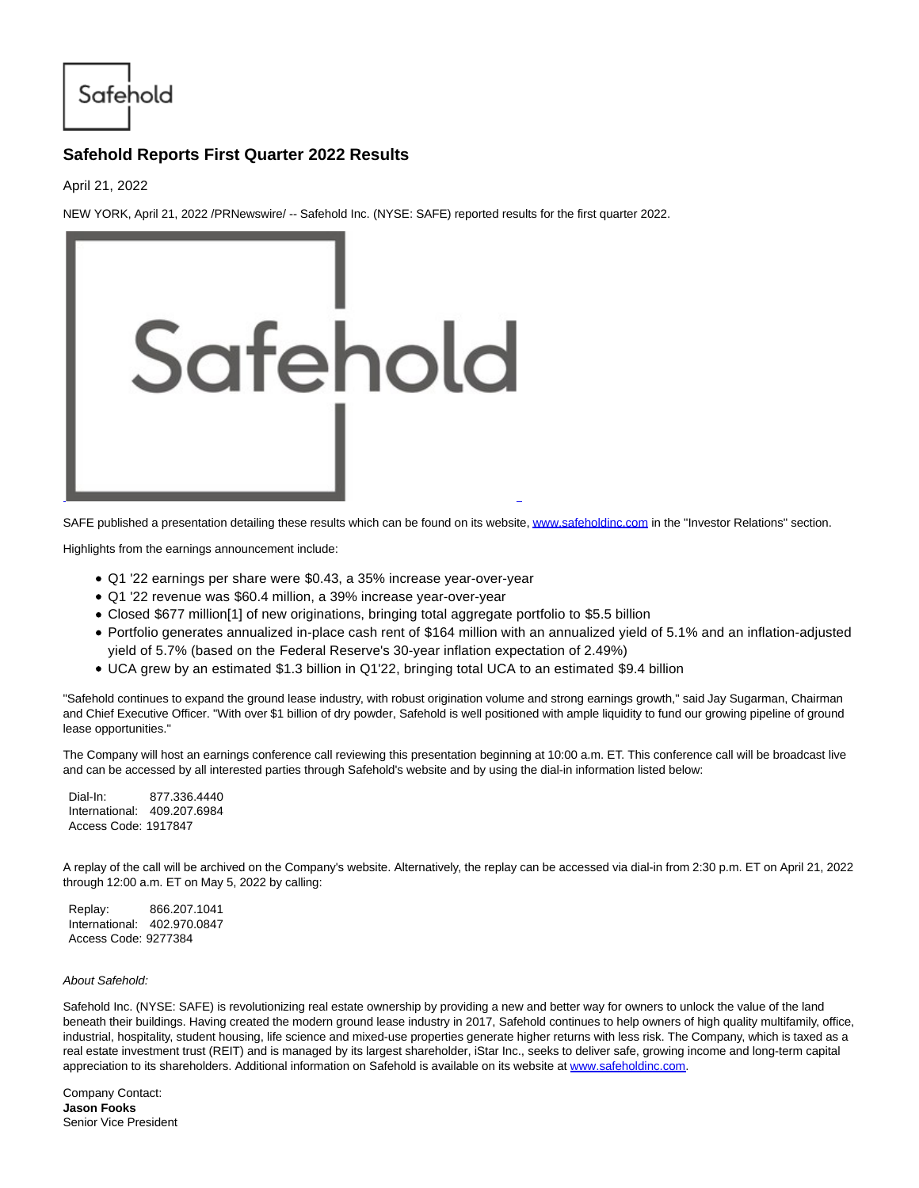Safehold

## **Safehold Reports First Quarter 2022 Results**

April 21, 2022

NEW YORK, April 21, 2022 /PRNewswire/ -- Safehold Inc. (NYSE: SAFE) reported results for the first quarter 2022.



SAFE published a presentation detailing these results which can be found on its website[, www.safeholdinc.com i](https://c212.net/c/link/?t=0&l=en&o=3511509-1&h=180488230&u=http%3A%2F%2Fwww.safeholdinc.com%2F&a=www.safeholdinc.com)n the "Investor Relations" section.

Highlights from the earnings announcement include:

- Q1 '22 earnings per share were \$0.43, a 35% increase year-over-year
- Q1 '22 revenue was \$60.4 million, a 39% increase year-over-year
- Closed \$677 million[1] of new originations, bringing total aggregate portfolio to \$5.5 billion
- Portfolio generates annualized in-place cash rent of \$164 million with an annualized yield of 5.1% and an inflation-adjusted yield of 5.7% (based on the Federal Reserve's 30-year inflation expectation of 2.49%)
- UCA grew by an estimated \$1.3 billion in Q1'22, bringing total UCA to an estimated \$9.4 billion

"Safehold continues to expand the ground lease industry, with robust origination volume and strong earnings growth," said Jay Sugarman, Chairman and Chief Executive Officer. "With over \$1 billion of dry powder, Safehold is well positioned with ample liquidity to fund our growing pipeline of ground lease opportunities."

The Company will host an earnings conference call reviewing this presentation beginning at 10:00 a.m. ET. This conference call will be broadcast live and can be accessed by all interested parties through Safehold's website and by using the dial-in information listed below:

Dial-In: 877.336.4440 International: 409.207.6984 Access Code: 1917847

A replay of the call will be archived on the Company's website. Alternatively, the replay can be accessed via dial-in from 2:30 p.m. ET on April 21, 2022 through 12:00 a.m. ET on May 5, 2022 by calling:

Replay: 866.207.1041 International: 402.970.0847 Access Code: 9277384

## About Safehold:

Safehold Inc. (NYSE: SAFE) is revolutionizing real estate ownership by providing a new and better way for owners to unlock the value of the land beneath their buildings. Having created the modern ground lease industry in 2017, Safehold continues to help owners of high quality multifamily, office, industrial, hospitality, student housing, life science and mixed-use properties generate higher returns with less risk. The Company, which is taxed as a real estate investment trust (REIT) and is managed by its largest shareholder, iStar Inc., seeks to deliver safe, growing income and long-term capital appreciation to its shareholders. Additional information on Safehold is available on its website a[t www.safeholdinc.com.](https://c212.net/c/link/?t=0&l=en&o=3511509-1&h=180488230&u=http%3A%2F%2Fwww.safeholdinc.com%2F&a=www.safeholdinc.com)

Company Contact: **Jason Fooks** Senior Vice President